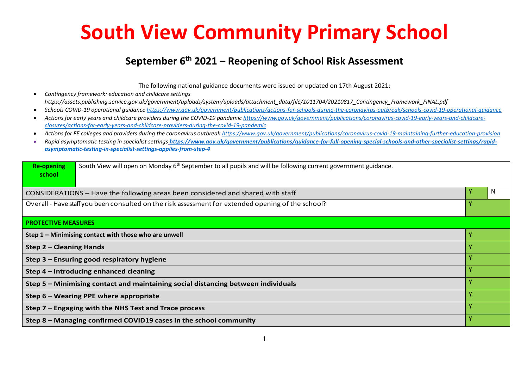## **South View Community Primary School**

## **September 6th 2021 – Reopening of School Risk Assessment**

The following national guidance documents were issued or updated on 17th August 2021:

• *Contingency framework: education and childcare settings https://assets.publishing.service.gov.uk/government/uploads/system/uploads/attachment\_data/file/1011704/20210817\_Contingency\_Framework\_FINAL.pdf*

- *Schools COVID-19 operational guidance <https://www.gov.uk/government/publications/actions-for-schools-during-the-coronavirus-outbreak/schools-covid-19-operational-guidance>*
- *Actions for early years and childcare providers during the COVID-19 pandemi[c https://www.gov.uk/government/publications/coronavirus-covid-19-early-years-and-childcare](https://www.gov.uk/government/publications/coronavirus-covid-19-early-years-and-childcare-closures/actions-for-early-years-and-childcare-providers-during-the-covid-19-pandemic)[closures/actions-for-early-years-and-childcare-providers-during-the-covid-19-pandemic](https://www.gov.uk/government/publications/coronavirus-covid-19-early-years-and-childcare-closures/actions-for-early-years-and-childcare-providers-during-the-covid-19-pandemic)*
- *Actions for FE colleges and providers during the coronavirus outbreak<https://www.gov.uk/government/publications/coronavirus-covid-19-maintaining-further-education-provision>*
- Rapid asymptomatic testing in specialist settings [https://www.gov.uk/government/publications/guidance-for-full-opening-special-schools-and-other-specialist-settings/rapid](https://www.gov.uk/government/publications/guidance-for-full-opening-special-schools-and-other-specialist-settings/rapid-asymptomatic-testing-in-specialist-settings-applies-from-step-4)*[asymptomatic-testing-in-specialist-settings-applies-from-step-4](https://www.gov.uk/government/publications/guidance-for-full-opening-special-schools-and-other-specialist-settings/rapid-asymptomatic-testing-in-specialist-settings-applies-from-step-4)*

| South View will open on Monday 6 <sup>th</sup> September to all pupils and will be following current government guidance.<br><b>Re-opening</b><br>school |                                                                                 |  |   |  |  |
|----------------------------------------------------------------------------------------------------------------------------------------------------------|---------------------------------------------------------------------------------|--|---|--|--|
|                                                                                                                                                          | CONSIDERATIONS - Have the following areas been considered and shared with staff |  | N |  |  |
| Overall - Have staff you been consulted on the risk assessment for extended opening of the school?                                                       |                                                                                 |  |   |  |  |
| <b>PROTECTIVE MEASURES</b>                                                                                                                               |                                                                                 |  |   |  |  |
| Step 1 - Minimising contact with those who are unwell                                                                                                    |                                                                                 |  |   |  |  |
| <b>Step 2 - Cleaning Hands</b>                                                                                                                           |                                                                                 |  |   |  |  |
| Step 3 - Ensuring good respiratory hygiene                                                                                                               |                                                                                 |  |   |  |  |
| Step 4 – Introducing enhanced cleaning                                                                                                                   |                                                                                 |  |   |  |  |
| Step 5 – Minimising contact and maintaining social distancing between individuals                                                                        |                                                                                 |  |   |  |  |
| Step 6 – Wearing PPE where appropriate                                                                                                                   |                                                                                 |  |   |  |  |
| Step 7 – Engaging with the NHS Test and Trace process                                                                                                    |                                                                                 |  |   |  |  |
| Step 8 - Managing confirmed COVID19 cases in the school community                                                                                        |                                                                                 |  |   |  |  |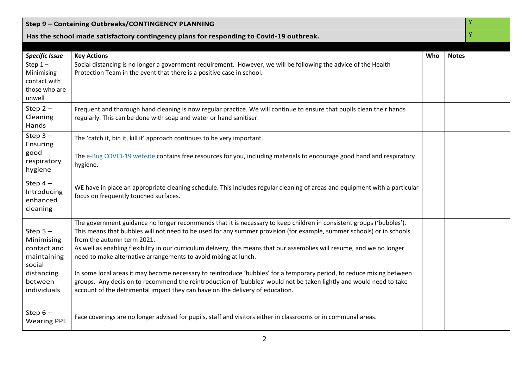| ٧<br>Step 9 - Containing Outbreaks/CONTINGENCY PLANNING                                                 |                                                                                                                                                                                                                                                                                                                                                                                                                                                                                                                                                                                                                                                                                                                                                                                                             |     |              |   |
|---------------------------------------------------------------------------------------------------------|-------------------------------------------------------------------------------------------------------------------------------------------------------------------------------------------------------------------------------------------------------------------------------------------------------------------------------------------------------------------------------------------------------------------------------------------------------------------------------------------------------------------------------------------------------------------------------------------------------------------------------------------------------------------------------------------------------------------------------------------------------------------------------------------------------------|-----|--------------|---|
| Has the school made satisfactory contingency plans for responding to Covid-19 outbreak.                 |                                                                                                                                                                                                                                                                                                                                                                                                                                                                                                                                                                                                                                                                                                                                                                                                             |     |              | Ÿ |
|                                                                                                         |                                                                                                                                                                                                                                                                                                                                                                                                                                                                                                                                                                                                                                                                                                                                                                                                             |     |              |   |
| <b>Specific Issue</b>                                                                                   | <b>Key Actions</b>                                                                                                                                                                                                                                                                                                                                                                                                                                                                                                                                                                                                                                                                                                                                                                                          | Who | <b>Notes</b> |   |
| Step $1-$<br>Minimising<br>contact with<br>those who are<br>unwell                                      | Social distancing is no longer a government requirement. However, we will be following the advice of the Health<br>Protection Team in the event that there is a positive case in school.                                                                                                                                                                                                                                                                                                                                                                                                                                                                                                                                                                                                                    |     |              |   |
| Step $2-$<br>Cleaning<br>Hands                                                                          | Frequent and thorough hand cleaning is now regular practice. We will continue to ensure that pupils clean their hands<br>regularly. This can be done with soap and water or hand sanitiser.                                                                                                                                                                                                                                                                                                                                                                                                                                                                                                                                                                                                                 |     |              |   |
| Step $3-$<br>Ensuring<br>good<br>respiratory<br>hygiene                                                 | The 'catch it, bin it, kill it' approach continues to be very important.<br>The e-Bug COVID-19 website contains free resources for you, including materials to encourage good hand and respiratory<br>hygiene.                                                                                                                                                                                                                                                                                                                                                                                                                                                                                                                                                                                              |     |              |   |
| Step $4-$<br>Introducing<br>enhanced<br>cleaning                                                        | WE have in place an appropriate cleaning schedule. This includes regular cleaning of areas and equipment with a particular<br>focus on frequently touched surfaces.                                                                                                                                                                                                                                                                                                                                                                                                                                                                                                                                                                                                                                         |     |              |   |
| Step $5-$<br>Minimising<br>contact and<br>maintaining<br>social<br>distancing<br>between<br>individuals | The government guidance no longer recommends that it is necessary to keep children in consistent groups ('bubbles').<br>This means that bubbles will not need to be used for any summer provision (for example, summer schools) or in schools<br>from the autumn term 2021.<br>As well as enabling flexibility in our curriculum delivery, this means that our assemblies will resume, and we no longer<br>need to make alternative arrangements to avoid mixing at lunch.<br>In some local areas it may become necessary to reintroduce 'bubbles' for a temporary period, to reduce mixing between<br>groups. Any decision to recommend the reintroduction of 'bubbles' would not be taken lightly and would need to take<br>account of the detrimental impact they can have on the delivery of education. |     |              |   |
| Step $6-$<br><b>Wearing PPE</b>                                                                         | Face coverings are no longer advised for pupils, staff and visitors either in classrooms or in communal areas.                                                                                                                                                                                                                                                                                                                                                                                                                                                                                                                                                                                                                                                                                              |     |              |   |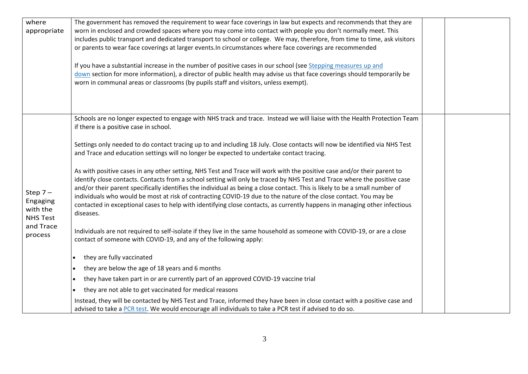| where<br>appropriate                                                         | The government has removed the requirement to wear face coverings in law but expects and recommends that they are<br>worn in enclosed and crowded spaces where you may come into contact with people you don't normally meet. This<br>includes public transport and dedicated transport to school or college. We may, therefore, from time to time, ask visitors<br>or parents to wear face coverings at larger events. In circumstances where face coverings are recommended<br>If you have a substantial increase in the number of positive cases in our school (see Stepping measures up and<br>down section for more information), a director of public health may advise us that face coverings should temporarily be |  |
|------------------------------------------------------------------------------|----------------------------------------------------------------------------------------------------------------------------------------------------------------------------------------------------------------------------------------------------------------------------------------------------------------------------------------------------------------------------------------------------------------------------------------------------------------------------------------------------------------------------------------------------------------------------------------------------------------------------------------------------------------------------------------------------------------------------|--|
|                                                                              | worn in communal areas or classrooms (by pupils staff and visitors, unless exempt).                                                                                                                                                                                                                                                                                                                                                                                                                                                                                                                                                                                                                                        |  |
|                                                                              | Schools are no longer expected to engage with NHS track and trace. Instead we will liaise with the Health Protection Team<br>if there is a positive case in school.                                                                                                                                                                                                                                                                                                                                                                                                                                                                                                                                                        |  |
| Step $7-$<br>Engaging<br>with the<br><b>NHS Test</b><br>and Trace<br>process | Settings only needed to do contact tracing up to and including 18 July. Close contacts will now be identified via NHS Test<br>and Trace and education settings will no longer be expected to undertake contact tracing.                                                                                                                                                                                                                                                                                                                                                                                                                                                                                                    |  |
|                                                                              | As with positive cases in any other setting, NHS Test and Trace will work with the positive case and/or their parent to<br>identify close contacts. Contacts from a school setting will only be traced by NHS Test and Trace where the positive case<br>and/or their parent specifically identifies the individual as being a close contact. This is likely to be a small number of<br>individuals who would be most at risk of contracting COVID-19 due to the nature of the close contact. You may be<br>contacted in exceptional cases to help with identifying close contacts, as currently happens in managing other infectious<br>diseases.                                                                          |  |
|                                                                              | Individuals are not required to self-isolate if they live in the same household as someone with COVID-19, or are a close<br>contact of someone with COVID-19, and any of the following apply:                                                                                                                                                                                                                                                                                                                                                                                                                                                                                                                              |  |
|                                                                              | they are fully vaccinated<br>$\bullet$                                                                                                                                                                                                                                                                                                                                                                                                                                                                                                                                                                                                                                                                                     |  |
|                                                                              | they are below the age of 18 years and 6 months                                                                                                                                                                                                                                                                                                                                                                                                                                                                                                                                                                                                                                                                            |  |
|                                                                              | they have taken part in or are currently part of an approved COVID-19 vaccine trial                                                                                                                                                                                                                                                                                                                                                                                                                                                                                                                                                                                                                                        |  |
|                                                                              | they are not able to get vaccinated for medical reasons<br>$\bullet$                                                                                                                                                                                                                                                                                                                                                                                                                                                                                                                                                                                                                                                       |  |
|                                                                              | Instead, they will be contacted by NHS Test and Trace, informed they have been in close contact with a positive case and<br>advised to take a PCR test. We would encourage all individuals to take a PCR test if advised to do so.                                                                                                                                                                                                                                                                                                                                                                                                                                                                                         |  |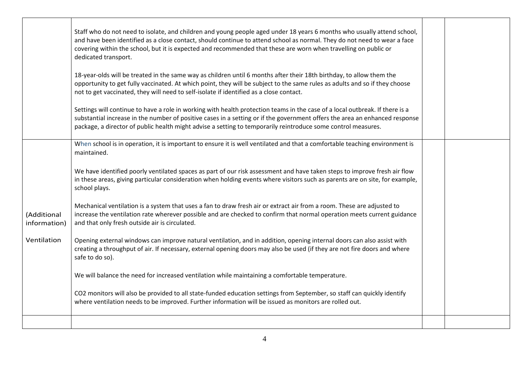|                             | Staff who do not need to isolate, and children and young people aged under 18 years 6 months who usually attend school,<br>and have been identified as a close contact, should continue to attend school as normal. They do not need to wear a face<br>covering within the school, but it is expected and recommended that these are worn when travelling on public or<br>dedicated transport. |  |
|-----------------------------|------------------------------------------------------------------------------------------------------------------------------------------------------------------------------------------------------------------------------------------------------------------------------------------------------------------------------------------------------------------------------------------------|--|
|                             | 18-year-olds will be treated in the same way as children until 6 months after their 18th birthday, to allow them the<br>opportunity to get fully vaccinated. At which point, they will be subject to the same rules as adults and so if they choose<br>not to get vaccinated, they will need to self-isolate if identified as a close contact.                                                 |  |
|                             | Settings will continue to have a role in working with health protection teams in the case of a local outbreak. If there is a<br>substantial increase in the number of positive cases in a setting or if the government offers the area an enhanced response<br>package, a director of public health might advise a setting to temporarily reintroduce some control measures.                   |  |
|                             | When school is in operation, it is important to ensure it is well ventilated and that a comfortable teaching environment is<br>maintained.                                                                                                                                                                                                                                                     |  |
|                             | We have identified poorly ventilated spaces as part of our risk assessment and have taken steps to improve fresh air flow<br>in these areas, giving particular consideration when holding events where visitors such as parents are on site, for example,<br>school plays.                                                                                                                     |  |
| (Additional<br>information) | Mechanical ventilation is a system that uses a fan to draw fresh air or extract air from a room. These are adjusted to<br>increase the ventilation rate wherever possible and are checked to confirm that normal operation meets current guidance<br>and that only fresh outside air is circulated.                                                                                            |  |
| Ventilation                 | Opening external windows can improve natural ventilation, and in addition, opening internal doors can also assist with<br>creating a throughput of air. If necessary, external opening doors may also be used (if they are not fire doors and where<br>safe to do so).                                                                                                                         |  |
|                             | We will balance the need for increased ventilation while maintaining a comfortable temperature.                                                                                                                                                                                                                                                                                                |  |
|                             | CO2 monitors will also be provided to all state-funded education settings from September, so staff can quickly identify<br>where ventilation needs to be improved. Further information will be issued as monitors are rolled out.                                                                                                                                                              |  |
|                             |                                                                                                                                                                                                                                                                                                                                                                                                |  |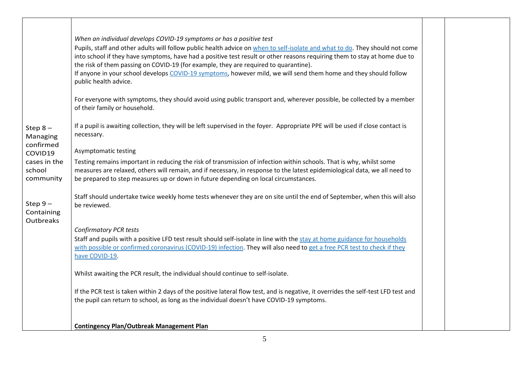|                                               | When an individual develops COVID-19 symptoms or has a positive test<br>Pupils, staff and other adults will follow public health advice on when to self-isolate and what to do. They should not come<br>into school if they have symptoms, have had a positive test result or other reasons requiring them to stay at home due to<br>the risk of them passing on COVID-19 (for example, they are required to quarantine).<br>If anyone in your school develops COVID-19 symptoms, however mild, we will send them home and they should follow<br>public health advice. |  |
|-----------------------------------------------|------------------------------------------------------------------------------------------------------------------------------------------------------------------------------------------------------------------------------------------------------------------------------------------------------------------------------------------------------------------------------------------------------------------------------------------------------------------------------------------------------------------------------------------------------------------------|--|
|                                               | For everyone with symptoms, they should avoid using public transport and, wherever possible, be collected by a member<br>of their family or household.                                                                                                                                                                                                                                                                                                                                                                                                                 |  |
| Step $8-$<br>Managing<br>confirmed<br>COVID19 | If a pupil is awaiting collection, they will be left supervised in the foyer. Appropriate PPE will be used if close contact is<br>necessary.<br>Asymptomatic testing                                                                                                                                                                                                                                                                                                                                                                                                   |  |
| cases in the<br>school<br>community           | Testing remains important in reducing the risk of transmission of infection within schools. That is why, whilst some<br>measures are relaxed, others will remain, and if necessary, in response to the latest epidemiological data, we all need to<br>be prepared to step measures up or down in future depending on local circumstances.                                                                                                                                                                                                                              |  |
| Step $9-$<br>Containing<br>Outbreaks          | Staff should undertake twice weekly home tests whenever they are on site until the end of September, when this will also<br>be reviewed.                                                                                                                                                                                                                                                                                                                                                                                                                               |  |
|                                               | <b>Confirmatory PCR tests</b><br>Staff and pupils with a positive LFD test result should self-isolate in line with the stay at home guidance for households<br>with possible or confirmed coronavirus (COVID-19) infection. They will also need to get a free PCR test to check if they<br>have COVID-19.                                                                                                                                                                                                                                                              |  |
|                                               | Whilst awaiting the PCR result, the individual should continue to self-isolate.                                                                                                                                                                                                                                                                                                                                                                                                                                                                                        |  |
|                                               | If the PCR test is taken within 2 days of the positive lateral flow test, and is negative, it overrides the self-test LFD test and<br>the pupil can return to school, as long as the individual doesn't have COVID-19 symptoms.                                                                                                                                                                                                                                                                                                                                        |  |
|                                               | <b>Contingency Plan/Outbreak Management Plan</b>                                                                                                                                                                                                                                                                                                                                                                                                                                                                                                                       |  |

 $\Box$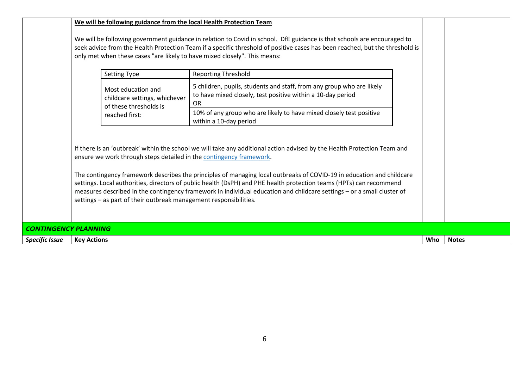|                             | We will be following guidance from the local Health Protection Team                                                                                                                                                                                                                                                                                                                                                                                                                                                                                                                                                                            |                                                                                                                                            |     |              |  |
|-----------------------------|------------------------------------------------------------------------------------------------------------------------------------------------------------------------------------------------------------------------------------------------------------------------------------------------------------------------------------------------------------------------------------------------------------------------------------------------------------------------------------------------------------------------------------------------------------------------------------------------------------------------------------------------|--------------------------------------------------------------------------------------------------------------------------------------------|-----|--------------|--|
|                             | We will be following government guidance in relation to Covid in school. DfE guidance is that schools are encouraged to<br>seek advice from the Health Protection Team if a specific threshold of positive cases has been reached, but the threshold is<br>only met when these cases "are likely to have mixed closely". This means:                                                                                                                                                                                                                                                                                                           |                                                                                                                                            |     |              |  |
|                             | <b>Setting Type</b>                                                                                                                                                                                                                                                                                                                                                                                                                                                                                                                                                                                                                            | <b>Reporting Threshold</b>                                                                                                                 |     |              |  |
|                             | Most education and<br>childcare settings, whichever<br>of these thresholds is                                                                                                                                                                                                                                                                                                                                                                                                                                                                                                                                                                  | 5 children, pupils, students and staff, from any group who are likely<br>to have mixed closely, test positive within a 10-day period<br>0R |     |              |  |
|                             | reached first:                                                                                                                                                                                                                                                                                                                                                                                                                                                                                                                                                                                                                                 | 10% of any group who are likely to have mixed closely test positive<br>within a 10-day period                                              |     |              |  |
|                             | If there is an 'outbreak' within the school we will take any additional action advised by the Health Protection Team and<br>ensure we work through steps detailed in the contingency framework.<br>The contingency framework describes the principles of managing local outbreaks of COVID-19 in education and childcare<br>settings. Local authorities, directors of public health (DsPH) and PHE health protection teams (HPTs) can recommend<br>measures described in the contingency framework in individual education and childcare settings – or a small cluster of<br>settings - as part of their outbreak management responsibilities. |                                                                                                                                            |     |              |  |
| <b>CONTINGENCY PLANNING</b> |                                                                                                                                                                                                                                                                                                                                                                                                                                                                                                                                                                                                                                                |                                                                                                                                            |     |              |  |
| <b>Specific Issue</b>       | <b>Key Actions</b>                                                                                                                                                                                                                                                                                                                                                                                                                                                                                                                                                                                                                             |                                                                                                                                            | Who | <b>Notes</b> |  |